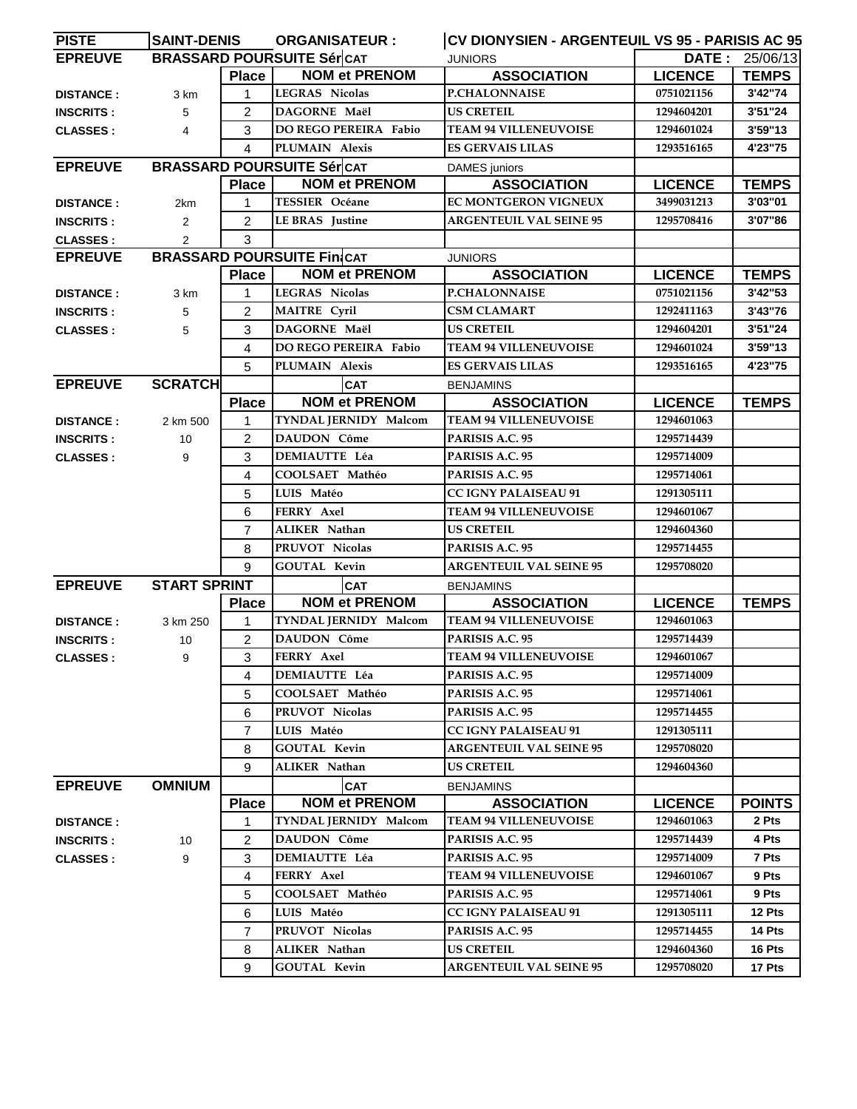| <b>PISTE</b>     | <b>SAINT-DENIS</b>  |                         | <b>ORGANISATEUR:</b>              | CV DIONYSIEN - ARGENTEUIL VS 95 - PARISIS AC 95 |                |                                     |
|------------------|---------------------|-------------------------|-----------------------------------|-------------------------------------------------|----------------|-------------------------------------|
| <b>EPREUVE</b>   |                     |                         | <b>BRASSARD POURSUITE SércAT</b>  | <b>JUNIORS</b>                                  |                | $\overline{\text{DATE}}$ : 25/06/13 |
|                  |                     | <b>Place</b>            | <b>NOM et PRENOM</b>              | <b>ASSOCIATION</b>                              | <b>LICENCE</b> | <b>TEMPS</b>                        |
| <b>DISTANCE:</b> | 3 km                | 1                       | <b>LEGRAS Nicolas</b>             | <b>P.CHALONNAISE</b>                            | 0751021156     | 3'42"74                             |
| <b>INSCRITS:</b> | 5                   | 2                       | DAGORNE Maël                      | <b>US CRETEIL</b>                               | 1294604201     | 3'51"24                             |
| <b>CLASSES:</b>  | 4                   | 3                       | <b>DO REGO PEREIRA Fabio</b>      | <b>TEAM 94 VILLENEUVOISE</b>                    | 1294601024     | 3'59"13                             |
|                  |                     | $\overline{\mathbf{A}}$ | PLUMAIN Alexis                    | <b>ES GERVAIS LILAS</b>                         | 1293516165     | 4'23"75                             |
| <b>EPREUVE</b>   |                     |                         | <b>BRASSARD POURSUITE Sér CAT</b> | <b>DAMES</b> juniors                            |                |                                     |
|                  |                     | <b>Place</b>            | <b>NOM et PRENOM</b>              | <b>ASSOCIATION</b>                              | <b>LICENCE</b> | <b>TEMPS</b>                        |
| <b>DISTANCE:</b> | 2km                 | 1                       | <b>TESSIER Océane</b>             | EC MONTGERON VIGNEUX                            | 3499031213     | 3'03"01                             |
| <b>INSCRITS:</b> | $\overline{2}$      | 2                       | <b>LEBRAS</b> Justine             | <b>ARGENTEUIL VAL SEINE 95</b>                  | 1295708416     | 3'07"86                             |
| <b>CLASSES:</b>  | 2                   | 3                       |                                   |                                                 |                |                                     |
| <b>EPREUVE</b>   |                     |                         | <b>BRASSARD POURSUITE FinCAT</b>  | <b>JUNIORS</b>                                  |                |                                     |
|                  |                     | <b>Place</b>            | <b>NOM et PRENOM</b>              | <b>ASSOCIATION</b>                              | <b>LICENCE</b> | <b>TEMPS</b>                        |
| <b>DISTANCE:</b> | 3 km                | $\mathbf{1}$            | LEGRAS Nicolas                    | <b>P.CHALONNAISE</b>                            | 0751021156     | 3'42"53                             |
| <b>INSCRITS:</b> | 5                   | 2                       | <b>MAITRE Cyril</b>               | <b>CSM CLAMART</b>                              | 1292411163     | 3'43"76                             |
| <b>CLASSES:</b>  | 5                   | 3                       | DAGORNE Maël                      | <b>US CRETEIL</b>                               | 1294604201     | 3'51"24                             |
|                  |                     | 4                       | DO REGO PEREIRA Fabio             | <b>TEAM 94 VILLENEUVOISE</b>                    | 1294601024     | 3'59"13                             |
|                  |                     | 5                       | PLUMAIN Alexis                    | <b>ES GERVAIS LILAS</b>                         | 1293516165     | 4'23"75                             |
| <b>EPREUVE</b>   | <b>SCRATCH</b>      |                         | <b>CAT</b>                        | <b>BENJAMINS</b>                                |                |                                     |
|                  |                     | <b>Place</b>            | <b>NOM et PRENOM</b>              | <b>ASSOCIATION</b>                              | <b>LICENCE</b> | <b>TEMPS</b>                        |
| <b>DISTANCE:</b> | 2 km 500            | 1                       | TYNDAL JERNIDY Malcom             | <b>TEAM 94 VILLENEUVOISE</b>                    | 1294601063     |                                     |
| <b>INSCRITS:</b> | 10                  | 2                       | DAUDON Côme                       | PARISIS A.C. 95                                 | 1295714439     |                                     |
| <b>CLASSES:</b>  | 9                   | 3                       | <b>DEMIAUTTE Léa</b>              | PARISIS A.C. 95                                 | 1295714009     |                                     |
|                  |                     | 4                       | COOLSAET Mathéo                   | PARISIS A.C. 95                                 | 1295714061     |                                     |
|                  |                     | 5                       | LUIS Matéo                        | CC IGNY PALAISEAU 91                            | 1291305111     |                                     |
|                  |                     | 6                       | FERRY Axel                        | <b>TEAM 94 VILLENEUVOISE</b>                    | 1294601067     |                                     |
|                  |                     | $\overline{7}$          | <b>ALIKER Nathan</b>              | <b>US CRETEIL</b>                               | 1294604360     |                                     |
|                  |                     | 8                       | PRUVOT Nicolas                    | PARISIS A.C. 95                                 | 1295714455     |                                     |
|                  |                     | 9                       | GOUTAL Kevin                      | <b>ARGENTEUIL VAL SEINE 95</b>                  | 1295708020     |                                     |
| <b>EPREUVE</b>   | <b>START SPRINT</b> |                         | <b>CAT</b>                        | <b>BENJAMINS</b>                                |                |                                     |
|                  |                     | <b>Place</b>            | <b>NOM et PRENOM</b>              | <b>ASSOCIATION</b>                              | <b>LICENCE</b> | <b>TEMPS</b>                        |
| <b>DISTANCE:</b> | 3 km 250            | 1                       | TYNDAL JERNIDY Malcom             | <b>TEAM 94 VILLENEUVOISE</b>                    | 1294601063     |                                     |
| <b>INSCRITS:</b> | 10                  | 2                       | <b>DAUDON Côme</b>                | PARISIS A.C. 95                                 | 1295714439     |                                     |
| <b>CLASSES:</b>  | 9                   | 3                       | FERRY Axel                        | <b>TEAM 94 VILLENEUVOISE</b>                    | 1294601067     |                                     |
|                  |                     | 4                       | <b>DEMIAUTTE Léa</b>              | PARISIS A.C. 95                                 | 1295714009     |                                     |
|                  |                     | 5                       | COOLSAET Mathéo                   | PARISIS A.C. 95                                 | 1295714061     |                                     |
|                  |                     | 6                       | PRUVOT Nicolas                    | PARISIS A.C. 95                                 | 1295714455     |                                     |
|                  |                     | 7                       | LUIS Matéo                        | <b>CC IGNY PALAISEAU 91</b>                     | 1291305111     |                                     |
|                  |                     | 8                       | GOUTAL Kevin                      | <b>ARGENTEUIL VAL SEINE 95</b>                  | 1295708020     |                                     |
|                  |                     | 9                       | ALIKER Nathan                     | US CRETEIL                                      | 1294604360     |                                     |
| <b>EPREUVE</b>   | <b>OMNIUM</b>       |                         | <b>CAT</b>                        | <b>BENJAMINS</b>                                |                |                                     |
|                  |                     | <b>Place</b>            | <b>NOM et PRENOM</b>              | <b>ASSOCIATION</b>                              | <b>LICENCE</b> | <b>POINTS</b>                       |
| <b>DISTANCE:</b> |                     | 1                       | TYNDAL JERNIDY Malcom             | <b>TEAM 94 VILLENEUVOISE</b>                    | 1294601063     | 2 Pts                               |
| <b>INSCRITS:</b> | 10                  | 2                       | DAUDON Côme                       | PARISIS A.C. 95                                 | 1295714439     | 4 Pts                               |
| <b>CLASSES:</b>  | 9                   | 3                       | DEMIAUTTE Léa                     | PARISIS A.C. 95                                 | 1295714009     | 7 Pts                               |
|                  |                     | 4                       | <b>FERRY</b> Axel                 | <b>TEAM 94 VILLENEUVOISE</b>                    | 1294601067     | 9 Pts                               |
|                  |                     | 5                       | COOLSAET Mathéo                   | PARISIS A.C. 95                                 | 1295714061     | 9 Pts                               |
|                  |                     | 6                       | LUIS Matéo                        | <b>CC IGNY PALAISEAU 91</b>                     | 1291305111     | 12 Pts                              |
|                  |                     | 7                       | PRUVOT Nicolas                    | PARISIS A.C. 95                                 | 1295714455     | 14 Pts                              |
|                  |                     | 8                       | ALIKER Nathan                     | <b>US CRETEIL</b>                               | 1294604360     | 16 Pts                              |
|                  |                     | 9                       | GOUTAL Kevin                      | <b>ARGENTEUIL VAL SEINE 95</b>                  | 1295708020     | 17 Pts                              |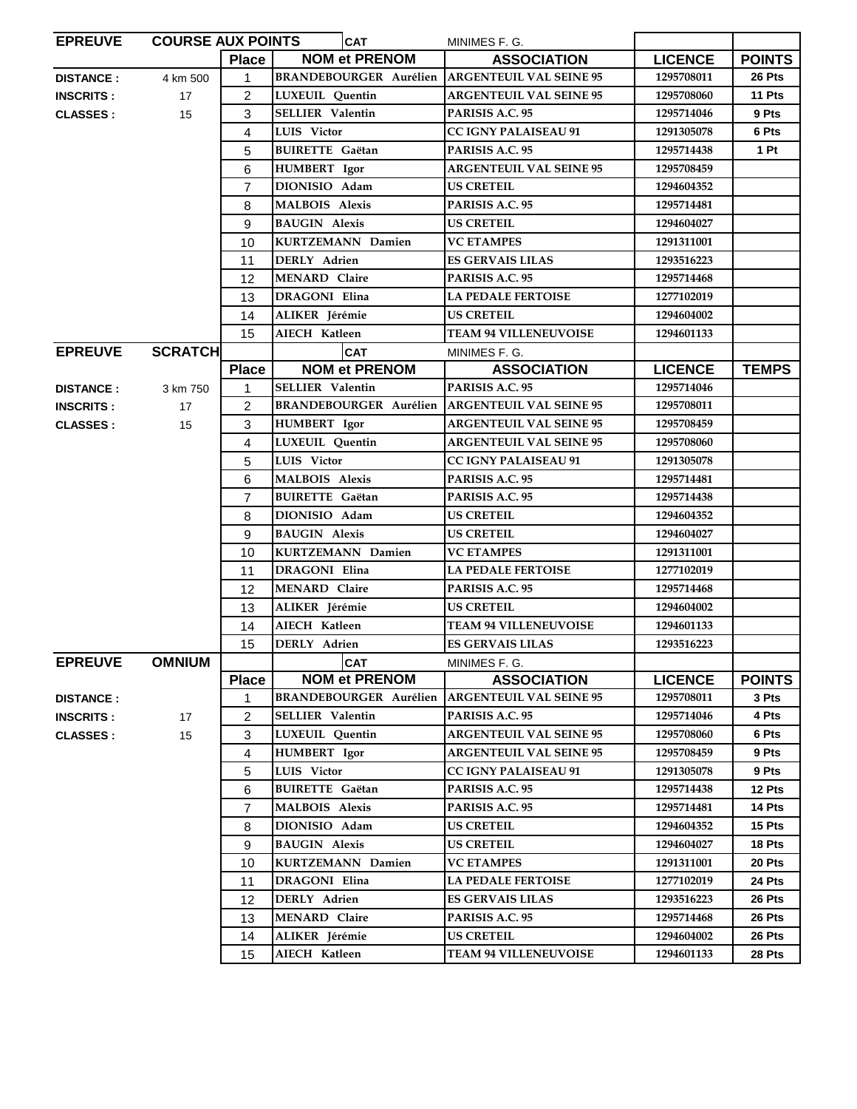| <b>EPREUVE</b>   | <b>COURSE AUX POINTS</b> |                | <b>CAT</b>                    | MINIMES F. G.                  |                |               |
|------------------|--------------------------|----------------|-------------------------------|--------------------------------|----------------|---------------|
|                  |                          | Place          | <b>NOM et PRENOM</b>          | <b>ASSOCIATION</b>             | <b>LICENCE</b> | <b>POINTS</b> |
| <b>DISTANCE:</b> | 4 km 500                 | $\mathbf{1}$   | <b>BRANDEBOURGER Aurélien</b> | <b>ARGENTEUIL VAL SEINE 95</b> | 1295708011     | 26 Pts        |
| <b>INSCRITS:</b> | 17                       | 2              | <b>LUXEUIL</b> Quentin        | <b>ARGENTEUIL VAL SEINE 95</b> | 1295708060     | 11 Pts        |
| <b>CLASSES:</b>  | 15                       | 3              | <b>SELLIER Valentin</b>       | PARISIS A.C. 95                | 1295714046     | 9 Pts         |
|                  |                          | 4              | LUIS Victor                   | <b>CC IGNY PALAISEAU 91</b>    | 1291305078     | 6 Pts         |
|                  |                          | 5              | <b>BUIRETTE</b> Gaëtan        | PARISIS A.C. 95                | 1295714438     | 1 Pt          |
|                  |                          | 6              | <b>HUMBERT</b> Igor           | <b>ARGENTEUIL VAL SEINE 95</b> | 1295708459     |               |
|                  |                          | $\overline{7}$ | DIONISIO Adam                 | <b>US CRETEIL</b>              | 1294604352     |               |
|                  |                          | 8              | <b>MALBOIS Alexis</b>         | PARISIS A.C. 95                | 1295714481     |               |
|                  |                          | 9              | <b>BAUGIN Alexis</b>          | <b>US CRETEIL</b>              | 1294604027     |               |
|                  |                          | 10             | KURTZEMANN Damien             | <b>VC ETAMPES</b>              | 1291311001     |               |
|                  |                          | 11             | DERLY Adrien                  | ES GERVAIS LILAS               | 1293516223     |               |
|                  |                          | 12             | <b>MENARD Claire</b>          | PARISIS A.C. 95                | 1295714468     |               |
|                  |                          | 13             | <b>DRAGONI Elina</b>          | <b>LA PEDALE FERTOISE</b>      | 1277102019     |               |
|                  |                          | 14             | ALIKER Jérémie                | US CRETEIL                     | 1294604002     |               |
|                  |                          | 15             | AIECH Katleen                 | <b>TEAM 94 VILLENEUVOISE</b>   | 1294601133     |               |
| <b>EPREUVE</b>   | <b>SCRATCH</b>           |                | <b>CAT</b>                    | MINIMES F. G.                  |                |               |
|                  |                          | <b>Place</b>   | <b>NOM et PRENOM</b>          | <b>ASSOCIATION</b>             | <b>LICENCE</b> | <b>TEMPS</b>  |
| <b>DISTANCE:</b> | 3 km 750                 | 1              | <b>SELLIER Valentin</b>       | PARISIS A.C. 95                | 1295714046     |               |
| <b>INSCRITS:</b> | 17                       | $\overline{2}$ | <b>BRANDEBOURGER Aurélien</b> | <b>ARGENTEUIL VAL SEINE 95</b> | 1295708011     |               |
| <b>CLASSES:</b>  | 15                       | 3              | <b>HUMBERT</b> Igor           | <b>ARGENTEUIL VAL SEINE 95</b> | 1295708459     |               |
|                  |                          | 4              | <b>LUXEUIL</b> Quentin        | <b>ARGENTEUIL VAL SEINE 95</b> | 1295708060     |               |
|                  |                          | 5              | LUIS Victor                   | <b>CC IGNY PALAISEAU 91</b>    | 1291305078     |               |
|                  |                          | 6              | <b>MALBOIS Alexis</b>         | PARISIS A.C. 95                | 1295714481     |               |
|                  |                          | $\overline{7}$ | <b>BUIRETTE</b> Gaëtan        | PARISIS A.C. 95                | 1295714438     |               |
|                  |                          | 8              | DIONISIO Adam                 | <b>US CRETEIL</b>              | 1294604352     |               |
|                  |                          | 9              | <b>BAUGIN Alexis</b>          | <b>US CRETEIL</b>              | 1294604027     |               |
|                  |                          | 10             | <b>KURTZEMANN Damien</b>      | <b>VC ETAMPES</b>              | 1291311001     |               |
|                  |                          | 11             | DRAGONI Elina                 | <b>LA PEDALE FERTOISE</b>      | 1277102019     |               |
|                  |                          | 12             | <b>MENARD</b> Claire          | PARISIS A.C. 95                | 1295714468     |               |
|                  |                          | 13             | ALIKER Jérémie                | <b>US CRETEIL</b>              | 1294604002     |               |
|                  |                          | 14             | AIECH Katleen                 | <b>TEAM 94 VILLENEUVOISE</b>   | 1294601133     |               |
|                  |                          | 15             | DERLY Adrien                  | <b>ES GERVAIS LILAS</b>        | 1293516223     |               |
| <b>EPREUVE</b>   | <b>OMNIUM</b>            |                | <b>CAT</b>                    | MINIMES F. G.                  |                |               |
|                  |                          | <b>Place</b>   | <b>NOM et PRENOM</b>          | <b>ASSOCIATION</b>             | <b>LICENCE</b> | <b>POINTS</b> |
| <b>DISTANCE:</b> |                          | 1              | <b>BRANDEBOURGER Aurélien</b> | <b>ARGENTEUIL VAL SEINE 95</b> | 1295708011     | 3 Pts         |
| <b>INSCRITS:</b> | 17                       | 2              | <b>SELLIER Valentin</b>       | PARISIS A.C. 95                | 1295714046     | 4 Pts         |
| <b>CLASSES:</b>  | 15                       | 3              | LUXEUIL Quentin               | <b>ARGENTEUIL VAL SEINE 95</b> | 1295708060     | 6 Pts         |
|                  |                          | 4              | <b>HUMBERT</b> Igor           | <b>ARGENTEUIL VAL SEINE 95</b> | 1295708459     | 9 Pts         |
|                  |                          | 5              | LUIS Victor                   | <b>CC IGNY PALAISEAU 91</b>    | 1291305078     | 9 Pts         |
|                  |                          | 6              | <b>BUIRETTE Gaëtan</b>        | PARISIS A.C. 95                | 1295714438     | 12 Pts        |
|                  |                          | 7              | <b>MALBOIS Alexis</b>         | PARISIS A.C. 95                | 1295714481     | 14 Pts        |
|                  |                          | 8              | DIONISIO Adam                 | <b>US CRETEIL</b>              | 1294604352     | 15 Pts        |
|                  |                          | 9              | <b>BAUGIN Alexis</b>          | US CRETEIL                     | 1294604027     | 18 Pts        |
|                  |                          | 10             | <b>KURTZEMANN Damien</b>      | <b>VC ETAMPES</b>              | 1291311001     | 20 Pts        |
|                  |                          | 11             | <b>DRAGONI Elina</b>          | <b>LA PEDALE FERTOISE</b>      | 1277102019     | 24 Pts        |
|                  |                          | 12             | DERLY Adrien                  | <b>ES GERVAIS LILAS</b>        | 1293516223     | 26 Pts        |
|                  |                          | 13             | <b>MENARD Claire</b>          | PARISIS A.C. 95                | 1295714468     | 26 Pts        |
|                  |                          | 14             | ALIKER Jérémie                | <b>US CRETEIL</b>              | 1294604002     | 26 Pts        |
|                  |                          | 15             | AIECH Katleen                 | <b>TEAM 94 VILLENEUVOISE</b>   | 1294601133     | 28 Pts        |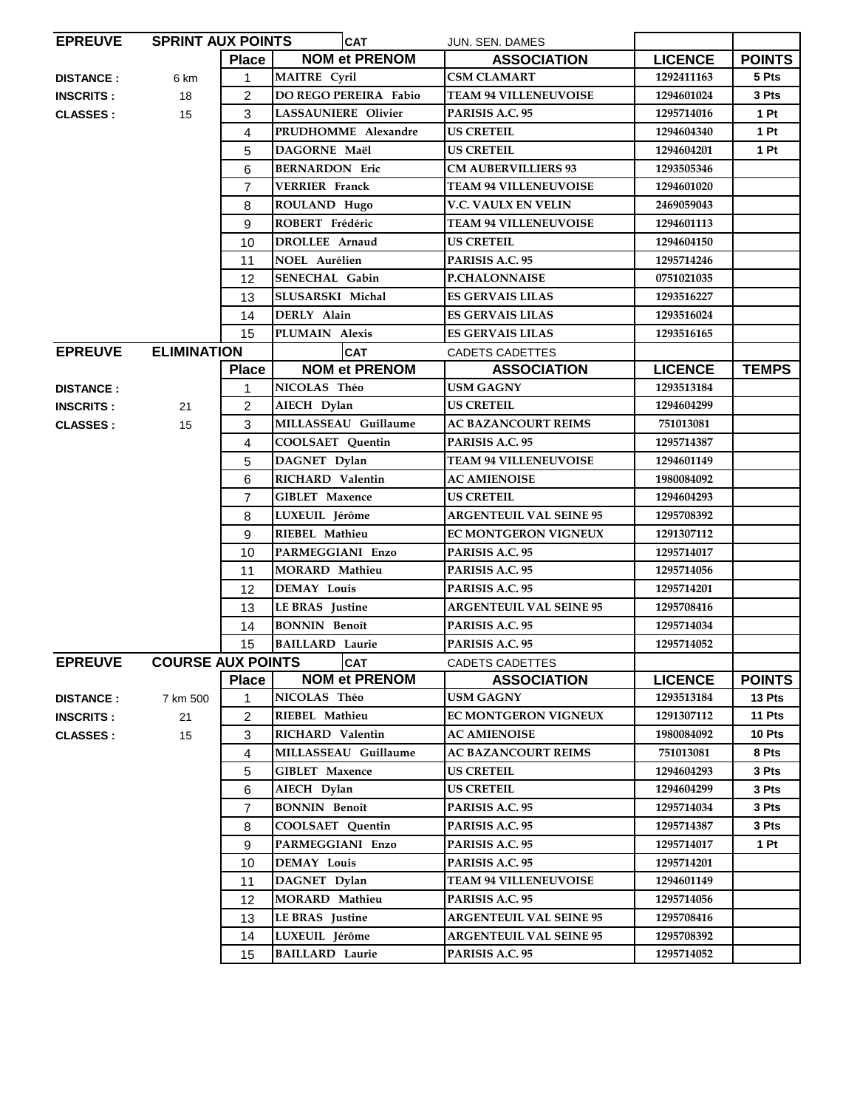| <b>EPREUVE</b>   | <b>SPRINT AUX POINTS</b> |                | <b>CAT</b>                   | JUN. SEN. DAMES                |                |                 |
|------------------|--------------------------|----------------|------------------------------|--------------------------------|----------------|-----------------|
|                  |                          | Place          | <b>NOM et PRENOM</b>         | <b>ASSOCIATION</b>             | <b>LICENCE</b> | <b>POINTS</b>   |
| <b>DISTANCE:</b> | 6 km                     | 1              | <b>MAITRE</b> Cyril          | <b>CSM CLAMART</b>             | 1292411163     | 5 Pts           |
| <b>INSCRITS:</b> | 18                       | 2              | <b>DO REGO PEREIRA Fabio</b> | <b>TEAM 94 VILLENEUVOISE</b>   | 1294601024     | 3 Pts           |
| <b>CLASSES:</b>  | 15                       | 3              | <b>LASSAUNIERE Olivier</b>   | PARISIS A.C. 95                | 1295714016     | 1Pt             |
|                  |                          | 4              | PRUDHOMME Alexandre          | <b>US CRETEIL</b>              | 1294604340     | 1Pt             |
|                  |                          | 5              | DAGORNE Maël                 | <b>US CRETEIL</b>              | 1294604201     | 1P <sub>t</sub> |
|                  |                          | 6              | <b>BERNARDON Eric</b>        | <b>CM AUBERVILLIERS 93</b>     | 1293505346     |                 |
|                  |                          | $\overline{7}$ | <b>VERRIER</b> Franck        | <b>TEAM 94 VILLENEUVOISE</b>   | 1294601020     |                 |
|                  |                          | 8              | ROULAND Hugo                 | <b>V.C. VAULX EN VELIN</b>     | 2469059043     |                 |
|                  |                          | 9              | ROBERT Frédéric              | <b>TEAM 94 VILLENEUVOISE</b>   | 1294601113     |                 |
|                  |                          | 10             | <b>DROLLEE</b> Arnaud        | <b>US CRETEIL</b>              | 1294604150     |                 |
|                  |                          | 11             | <b>NOEL Aurélien</b>         | PARISIS A.C. 95                | 1295714246     |                 |
|                  |                          | 12             | <b>SENECHAL Gabin</b>        | <b>P.CHALONNAISE</b>           | 0751021035     |                 |
|                  |                          | 13             | SLUSARSKI Michal             | <b>ES GERVAIS LILAS</b>        | 1293516227     |                 |
|                  |                          | 14             | DERLY Alain                  | <b>ES GERVAIS LILAS</b>        | 1293516024     |                 |
|                  |                          | 15             | PLUMAIN Alexis               | ES GERVAIS LILAS               | 1293516165     |                 |
| <b>EPREUVE</b>   | <b>ELIMINATION</b>       |                | <b>CAT</b>                   | <b>CADETS CADETTES</b>         |                |                 |
|                  |                          | <b>Place</b>   | <b>NOM et PRENOM</b>         | <b>ASSOCIATION</b>             | <b>LICENCE</b> | <b>TEMPS</b>    |
| <b>DISTANCE:</b> |                          | 1              | NICOLAS Théo                 | USM GAGNY                      | 1293513184     |                 |
| <b>INSCRITS:</b> | 21                       | $\overline{2}$ | AIECH Dylan                  | <b>US CRETEIL</b>              | 1294604299     |                 |
| <b>CLASSES:</b>  | 15                       | 3              | MILLASSEAU Guillaume         | <b>AC BAZANCOURT REIMS</b>     | 751013081      |                 |
|                  |                          | $\overline{4}$ | <b>COOLSAET</b> Quentin      | PARISIS A.C. 95                | 1295714387     |                 |
|                  |                          | 5              | DAGNET Dylan                 | <b>TEAM 94 VILLENEUVOISE</b>   | 1294601149     |                 |
|                  |                          | 6              | RICHARD Valentin             | <b>AC AMIENOISE</b>            | 1980084092     |                 |
|                  |                          | $\overline{7}$ | <b>GIBLET</b> Maxence        | <b>US CRETEIL</b>              | 1294604293     |                 |
|                  |                          | 8              | LUXEUIL Jérôme               | <b>ARGENTEUIL VAL SEINE 95</b> | 1295708392     |                 |
|                  |                          | 9              | RIEBEL Mathieu               | EC MONTGERON VIGNEUX           | 1291307112     |                 |
|                  |                          | 10             | PARMEGGIANI Enzo             | PARISIS A.C. 95                | 1295714017     |                 |
|                  |                          | 11             | MORARD Mathieu               | PARISIS A.C. 95                | 1295714056     |                 |
|                  |                          | 12             | <b>DEMAY Louis</b>           | PARISIS A.C. 95                | 1295714201     |                 |
|                  |                          | 13             | LE BRAS Justine              | <b>ARGENTEUIL VAL SEINE 95</b> | 1295708416     |                 |
|                  |                          | 14             | <b>BONNIN Benoît</b>         | PARISIS A.C. 95                | 1295714034     |                 |
|                  |                          | 15             | <b>BAILLARD</b> Laurie       | PARISIS A.C. 95                | 1295714052     |                 |
| <b>EPREUVE</b>   | <b>COURSE AUX POINTS</b> |                | <b>CAT</b>                   | CADETS CADETTES                |                |                 |
|                  |                          | Place          | <b>NOM et PRENOM</b>         | <b>ASSOCIATION</b>             | <b>LICENCE</b> | <b>POINTS</b>   |
| <b>DISTANCE:</b> | 7 km 500                 | 1              | NICOLAS Théo                 | USM GAGNY                      | 1293513184     | 13 Pts          |
| <b>INSCRITS:</b> | 21                       | 2              | RIEBEL Mathieu               | EC MONTGERON VIGNEUX           | 1291307112     | 11 Pts          |
| <b>CLASSES:</b>  | 15                       | 3              | RICHARD Valentin             | <b>AC AMIENOISE</b>            | 1980084092     | 10 Pts          |
|                  |                          | 4              | MILLASSEAU Guillaume         | <b>AC BAZANCOURT REIMS</b>     | 751013081      | 8 Pts           |
|                  |                          | 5              | <b>GIBLET</b> Maxence        | <b>US CRETEIL</b>              | 1294604293     | 3 Pts           |
|                  |                          | 6              | AIECH Dylan                  | <b>US CRETEIL</b>              | 1294604299     | 3 Pts           |
|                  |                          | $\overline{7}$ | <b>BONNIN Benoît</b>         | PARISIS A.C. 95                | 1295714034     | 3 Pts           |
|                  |                          | 8              | <b>COOLSAET Quentin</b>      | PARISIS A.C. 95                | 1295714387     | 3 Pts           |
|                  |                          | 9              | PARMEGGIANI Enzo             | PARISIS A.C. 95                | 1295714017     | 1 Pt            |
|                  |                          | 10             | <b>DEMAY Louis</b>           | PARISIS A.C. 95                | 1295714201     |                 |
|                  |                          | 11             | DAGNET Dylan                 | <b>TEAM 94 VILLENEUVOISE</b>   | 1294601149     |                 |
|                  |                          | 12             | <b>MORARD</b> Mathieu        | PARISIS A.C. 95                | 1295714056     |                 |
|                  |                          | 13             | LE BRAS Justine              | <b>ARGENTEUIL VAL SEINE 95</b> | 1295708416     |                 |
|                  |                          | 14             | LUXEUIL Jérôme               | <b>ARGENTEUIL VAL SEINE 95</b> | 1295708392     |                 |
|                  |                          | 15             | <b>BAILLARD Laurie</b>       | PARISIS A.C. 95                | 1295714052     |                 |